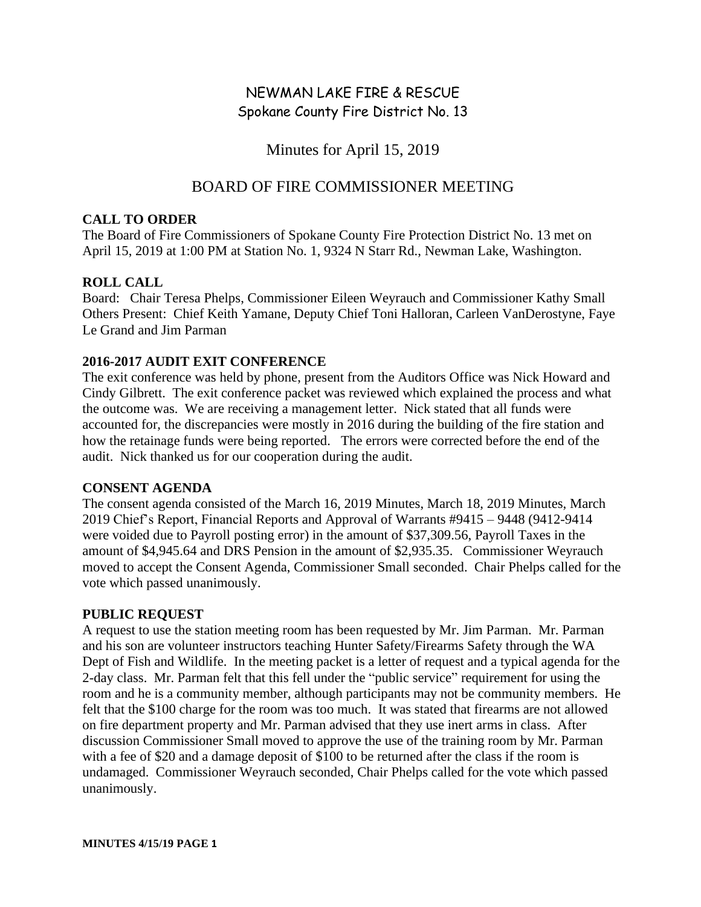# NEWMAN LAKE FIRE & RESCUE Spokane County Fire District No. 13

## Minutes for April 15, 2019

## BOARD OF FIRE COMMISSIONER MEETING

#### **CALL TO ORDER**

The Board of Fire Commissioners of Spokane County Fire Protection District No. 13 met on April 15, 2019 at 1:00 PM at Station No. 1, 9324 N Starr Rd., Newman Lake, Washington.

## **ROLL CALL**

Board: Chair Teresa Phelps, Commissioner Eileen Weyrauch and Commissioner Kathy Small Others Present: Chief Keith Yamane, Deputy Chief Toni Halloran, Carleen VanDerostyne, Faye Le Grand and Jim Parman

## **2016-2017 AUDIT EXIT CONFERENCE**

The exit conference was held by phone, present from the Auditors Office was Nick Howard and Cindy Gilbrett. The exit conference packet was reviewed which explained the process and what the outcome was. We are receiving a management letter. Nick stated that all funds were accounted for, the discrepancies were mostly in 2016 during the building of the fire station and how the retainage funds were being reported. The errors were corrected before the end of the audit. Nick thanked us for our cooperation during the audit.

## **CONSENT AGENDA**

The consent agenda consisted of the March 16, 2019 Minutes, March 18, 2019 Minutes, March 2019 Chief's Report, Financial Reports and Approval of Warrants #9415 – 9448 (9412-9414 were voided due to Payroll posting error) in the amount of \$37,309.56, Payroll Taxes in the amount of \$4,945.64 and DRS Pension in the amount of \$2,935.35. Commissioner Weyrauch moved to accept the Consent Agenda, Commissioner Small seconded. Chair Phelps called for the vote which passed unanimously.

## **PUBLIC REQUEST**

A request to use the station meeting room has been requested by Mr. Jim Parman. Mr. Parman and his son are volunteer instructors teaching Hunter Safety/Firearms Safety through the WA Dept of Fish and Wildlife. In the meeting packet is a letter of request and a typical agenda for the 2-day class. Mr. Parman felt that this fell under the "public service" requirement for using the room and he is a community member, although participants may not be community members. He felt that the \$100 charge for the room was too much. It was stated that firearms are not allowed on fire department property and Mr. Parman advised that they use inert arms in class. After discussion Commissioner Small moved to approve the use of the training room by Mr. Parman with a fee of \$20 and a damage deposit of \$100 to be returned after the class if the room is undamaged. Commissioner Weyrauch seconded, Chair Phelps called for the vote which passed unanimously.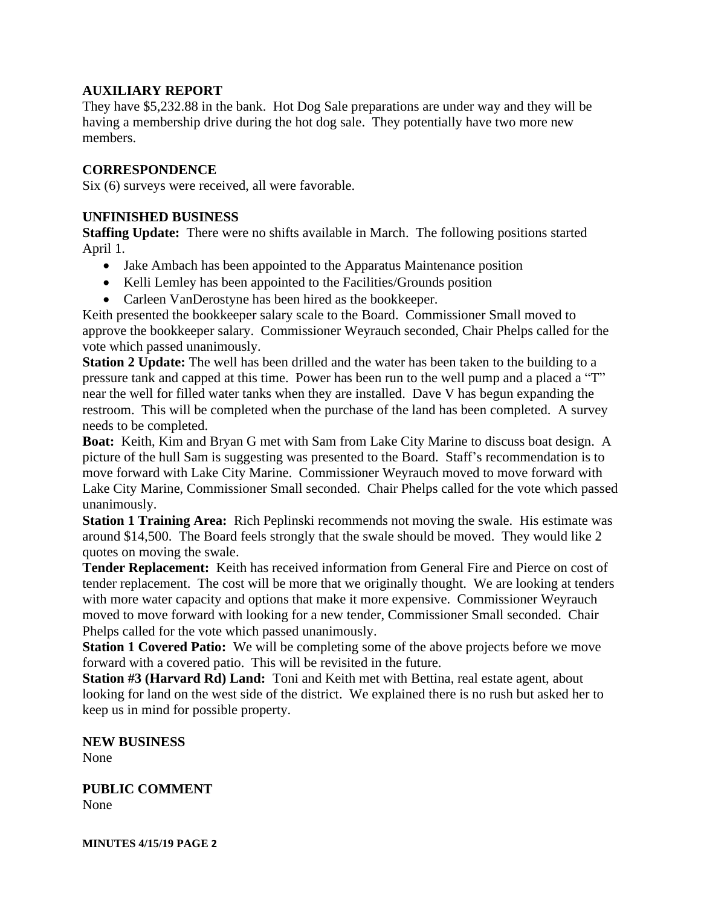#### **AUXILIARY REPORT**

They have \$5,232.88 in the bank. Hot Dog Sale preparations are under way and they will be having a membership drive during the hot dog sale. They potentially have two more new members.

#### **CORRESPONDENCE**

Six (6) surveys were received, all were favorable.

#### **UNFINISHED BUSINESS**

**Staffing Update:** There were no shifts available in March. The following positions started April 1.

- Jake Ambach has been appointed to the Apparatus Maintenance position
- Kelli Lemley has been appointed to the Facilities/Grounds position
- Carleen VanDerostyne has been hired as the bookkeeper.

Keith presented the bookkeeper salary scale to the Board. Commissioner Small moved to approve the bookkeeper salary. Commissioner Weyrauch seconded, Chair Phelps called for the vote which passed unanimously.

**Station 2 Update:** The well has been drilled and the water has been taken to the building to a pressure tank and capped at this time. Power has been run to the well pump and a placed a "T" near the well for filled water tanks when they are installed. Dave V has begun expanding the restroom. This will be completed when the purchase of the land has been completed. A survey needs to be completed.

**Boat:** Keith, Kim and Bryan G met with Sam from Lake City Marine to discuss boat design. A picture of the hull Sam is suggesting was presented to the Board. Staff's recommendation is to move forward with Lake City Marine. Commissioner Weyrauch moved to move forward with Lake City Marine, Commissioner Small seconded. Chair Phelps called for the vote which passed unanimously.

**Station 1 Training Area:** Rich Peplinski recommends not moving the swale. His estimate was around \$14,500. The Board feels strongly that the swale should be moved. They would like 2 quotes on moving the swale.

**Tender Replacement:** Keith has received information from General Fire and Pierce on cost of tender replacement. The cost will be more that we originally thought. We are looking at tenders with more water capacity and options that make it more expensive. Commissioner Weyrauch moved to move forward with looking for a new tender, Commissioner Small seconded. Chair Phelps called for the vote which passed unanimously.

**Station 1 Covered Patio:** We will be completing some of the above projects before we move forward with a covered patio. This will be revisited in the future.

**Station #3 (Harvard Rd) Land:** Toni and Keith met with Bettina, real estate agent, about looking for land on the west side of the district. We explained there is no rush but asked her to keep us in mind for possible property.

**NEW BUSINESS** None

**PUBLIC COMMENT** None

**MINUTES 4/15/19 PAGE 2**